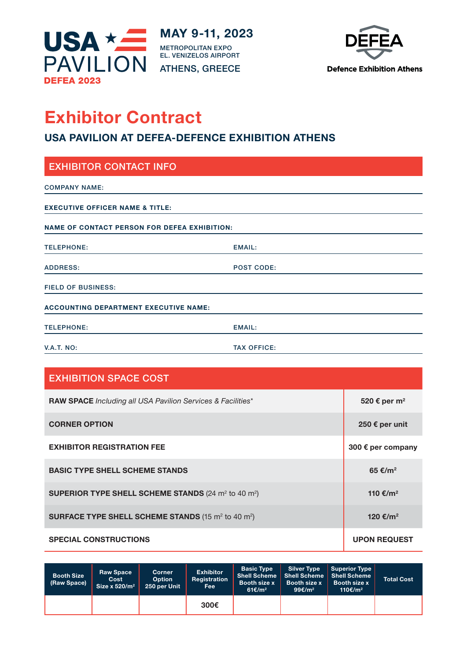



# **Exhibitor Contract**

# **USA PAVILION AT DEFEA-DEFENCE EXHIBITION ATHENS**

| <b>EXHIBITOR CONTACT INFO</b>                       |                   |  |  |  |
|-----------------------------------------------------|-------------------|--|--|--|
| <b>COMPANY NAME:</b>                                |                   |  |  |  |
| <b>EXECUTIVE OFFICER NAME &amp; TITLE:</b>          |                   |  |  |  |
| <b>NAME OF CONTACT PERSON FOR DEFEA EXHIBITION:</b> |                   |  |  |  |
| <b>TELEPHONE:</b>                                   | <b>EMAIL:</b>     |  |  |  |
| <b>ADDRESS:</b>                                     | <b>POST CODE:</b> |  |  |  |
| <b>FIELD OF BUSINESS:</b>                           |                   |  |  |  |
| <b>ACCOUNTING DEPARTMENT EXECUTIVE NAME:</b>        |                   |  |  |  |
| <b>TELEPHONE:</b>                                   | EMAIL:            |  |  |  |

V.A.T. NO: TAX OFFICE:

| <b>EXHIBITION SPACE COST</b>                                                       |                          |
|------------------------------------------------------------------------------------|--------------------------|
| <b>RAW SPACE</b> Including all USA Pavilion Services & Facilities*                 | 520 € per m <sup>2</sup> |
| <b>CORNER OPTION</b>                                                               | 250 € per unit           |
| <b>EXHIBITOR REGISTRATION FEE</b>                                                  | 300 € per company        |
| <b>BASIC TYPE SHELL SCHEME STANDS</b>                                              | 65 €/m <sup>2</sup>      |
| <b>SUPERIOR TYPE SHELL SCHEME STANDS</b> (24 m <sup>2</sup> to 40 m <sup>2</sup> ) | 110 €/m <sup>2</sup>     |
| <b>SURFACE TYPE SHELL SCHEME STANDS</b> (15 m <sup>2</sup> to 40 m <sup>2</sup> )  | 120 €/m <sup>2</sup>     |
| <b>SPECIAL CONSTRUCTIONS</b>                                                       | <b>UPON REQUEST</b>      |

| <b>Booth Size</b><br>(Raw Space) | <b>Raw Space</b><br>Cost<br>Size x $520/m^2$ | <b>Corner</b><br><b>Option</b><br>250 per Unit | <b>Exhibitor</b><br>Registration<br><b>Fee</b> | <b>Basic Type</b><br>Booth size x<br>61€/m <sup>2</sup> | <b>Silver Type</b><br>Shell Scheme Shell Scheme I<br>Booth size x<br>99 $\varepsilon/m^2$ | <b>Superior Type</b><br><b>Shell Scheme</b><br><b>Booth size x</b><br>110€/m <sup>2</sup> | <b>Total Cost</b> |
|----------------------------------|----------------------------------------------|------------------------------------------------|------------------------------------------------|---------------------------------------------------------|-------------------------------------------------------------------------------------------|-------------------------------------------------------------------------------------------|-------------------|
|                                  |                                              |                                                | 300€                                           |                                                         |                                                                                           |                                                                                           |                   |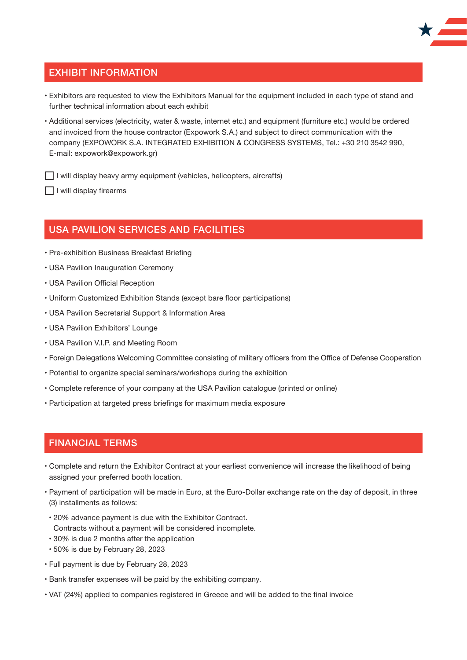#### EXHIBIT INFORMATION

- Exhibitors are requested to view the Exhibitors Manual for the equipment included in each type of stand and further technical information about each exhibit
- Additional services (electricity, water & waste, internet etc.) and equipment (furniture etc.) would be ordered and invoiced from the house contractor (Expowork S.A.) and subject to direct communication with the company (EXPOWORK S.A. INTEGRATED EXHIBITION & CONGRESS SYSTEMS, Tel.: +30 210 3542 990, E-mail: expowork@expowork.gr)

□ I will display heavy army equipment (vehicles, helicopters, aircrafts)

 $\Box$  I will display firearms

#### USA PAVILION SERVICES AND FACILITIES

- Pre-exhibition Business Breakfast Briefing
- USA Pavilion Inauguration Ceremony
- USA Pavilion Official Reception
- Uniform Customized Exhibition Stands (except bare floor participations)
- USA Pavilion Secretarial Support & Information Area
- USA Pavilion Exhibitors' Lounge
- USA Pavilion V.I.P. and Meeting Room
- Foreign Delegations Welcoming Committee consisting of military officers from the Office of Defense Cooperation
- Potential to organize special seminars/workshops during the exhibition
- Complete reference of your company at the USA Pavilion catalogue (printed or online)
- Participation at targeted press briefings for maximum media exposure

### FINANCIAL TERMS

- Complete and return the Exhibitor Contract at your earliest convenience will increase the likelihood of being assigned your preferred booth location.
- Payment of participation will be made in Euro, at the Euro-Dollar exchange rate on the day of deposit, in three (3) installments as follows:
- 20% advance payment is due with the Exhibitor Contract. Contracts without a payment will be considered incomplete.
- 30% is due 2 months after the application
- 50% is due by February 28, 2023
- Full payment is due by February 28, 2023
- Bank transfer expenses will be paid by the exhibiting company.
- VAT (24%) applied to companies registered in Greece and will be added to the final invoice